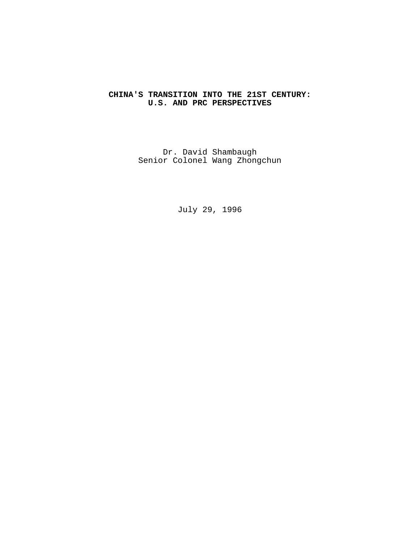# **CHINA'S TRANSITION INTO THE 21ST CENTURY: U.S. AND PRC PERSPECTIVES**

Dr. David Shambaugh Senior Colonel Wang Zhongchun

July 29, 1996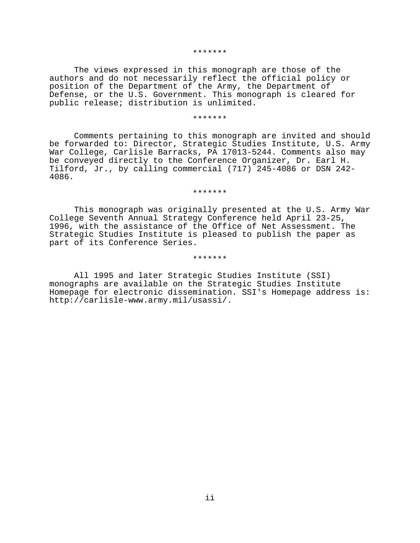#### \*\*\*\*\*\*\*

The views expressed in this monograph are those of the authors and do not necessarily reflect the official policy or position of the Department of the Army, the Department of Defense, or the U.S. Government. This monograph is cleared for public release; distribution is unlimited.

#### \*\*\*\*\*\*\*

Comments pertaining to this monograph are invited and should be forwarded to: Director, Strategic Studies Institute, U.S. Army War College, Carlisle Barracks, PA 17013-5244. Comments also may be conveyed directly to the Conference Organizer, Dr. Earl H. Tilford, Jr., by calling commercial (717) 245-4086 or DSN 242- 4086.

### \*\*\*\*\*\*\*

This monograph was originally presented at the U.S. Army War College Seventh Annual Strategy Conference held April 23-25, 1996, with the assistance of the Office of Net Assessment. The Strategic Studies Institute is pleased to publish the paper as part of its Conference Series.

#### \*\*\*\*\*\*\*

All 1995 and later Strategic Studies Institute (SSI) monographs are available on the Strategic Studies Institute Homepage for electronic dissemination. SSI's Homepage address is: http://carlisle-www.army.mil/usassi/.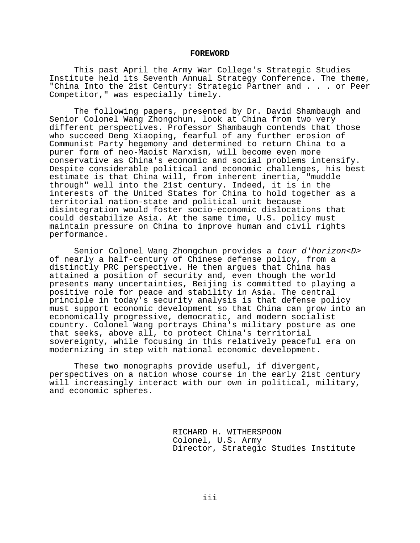### **FOREWORD**

This past April the Army War College's Strategic Studies Institute held its Seventh Annual Strategy Conference. The theme, "China Into the 21st Century: Strategic Partner and . . . or Peer Competitor," was especially timely.

The following papers, presented by Dr. David Shambaugh and Senior Colonel Wang Zhongchun, look at China from two very different perspectives. Professor Shambaugh contends that those who succeed Deng Xiaoping, fearful of any further erosion of Communist Party hegemony and determined to return China to a purer form of neo-Maoist Marxism, will become even more conservative as China's economic and social problems intensify. Despite considerable political and economic challenges, his best estimate is that China will, from inherent inertia, "muddle through" well into the 21st century. Indeed, it is in the interests of the United States for China to hold together as a territorial nation-state and political unit because disintegration would foster socio-economic dislocations that could destabilize Asia. At the same time, U.S. policy must maintain pressure on China to improve human and civil rights performance.

Senior Colonel Wang Zhongchun provides a tour d'horizon<D> of nearly a half-century of Chinese defense policy, from a distinctly PRC perspective. He then argues that China has attained a position of security and, even though the world presents many uncertainties, Beijing is committed to playing a positive role for peace and stability in Asia. The central principle in today's security analysis is that defense policy must support economic development so that China can grow into an economically progressive, democratic, and modern socialist country. Colonel Wang portrays China's military posture as one that seeks, above all, to protect China's territorial sovereignty, while focusing in this relatively peaceful era on modernizing in step with national economic development.

These two monographs provide useful, if divergent, perspectives on a nation whose course in the early 21st century will increasingly interact with our own in political, military, and economic spheres.

> RICHARD H. WITHERSPOON Colonel, U.S. Army Director, Strategic Studies Institute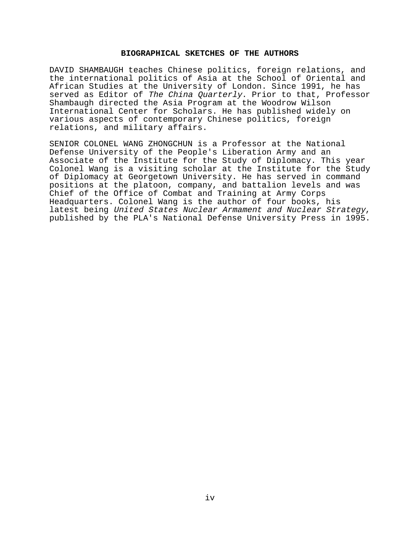# **BIOGRAPHICAL SKETCHES OF THE AUTHORS**

DAVID SHAMBAUGH teaches Chinese politics, foreign relations, and the international politics of Asia at the School of Oriental and African Studies at the University of London. Since 1991, he has served as Editor of The China Quarterly. Prior to that, Professor Shambaugh directed the Asia Program at the Woodrow Wilson International Center for Scholars. He has published widely on various aspects of contemporary Chinese politics, foreign relations, and military affairs.

SENIOR COLONEL WANG ZHONGCHUN is a Professor at the National Defense University of the People's Liberation Army and an Associate of the Institute for the Study of Diplomacy. This year Colonel Wang is a visiting scholar at the Institute for the Study of Diplomacy at Georgetown University. He has served in command positions at the platoon, company, and battalion levels and was Chief of the Office of Combat and Training at Army Corps Headquarters. Colonel Wang is the author of four books, his latest being United States Nuclear Armament and Nuclear Strategy, published by the PLA's National Defense University Press in 1995.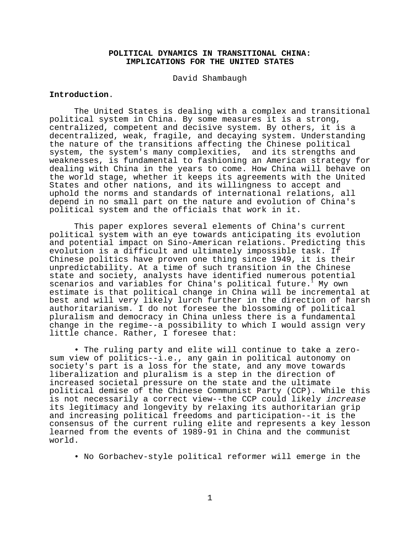# **POLITICAL DYNAMICS IN TRANSITIONAL CHINA: IMPLICATIONS FOR THE UNITED STATES**

David Shambaugh

# **Introduction**.

The United States is dealing with a complex and transitional political system in China. By some measures it is a strong, centralized, competent and decisive system. By others, it is a decentralized, weak, fragile, and decaying system. Understanding the nature of the transitions affecting the Chinese political system, the system's many complexities, and its strengths and weaknesses, is fundamental to fashioning an American strategy for dealing with China in the years to come. How China will behave on the world stage, whether it keeps its agreements with the United States and other nations, and its willingness to accept and uphold the norms and standards of international relations, all depend in no small part on the nature and evolution of China's political system and the officials that work in it.

This paper explores several elements of China's current political system with an eye towards anticipating its evolution and potential impact on Sino-American relations. Predicting this evolution is a difficult and ultimately impossible task. If Chinese politics have proven one thing since 1949, it is their unpredictability. At a time of such transition in the Chinese state and society, analysts have identified numerous potential scenarios and variables for China's political future.  $^{\text{\tiny{\textsf{I}}}}$  My own estimate is that political change in China will be incremental at best and will very likely lurch further in the direction of harsh authoritarianism. I do not foresee the blossoming of political pluralism and democracy in China unless there is a fundamental change in the regime--a possibility to which I would assign very little chance. Rather, I foresee that:

• The ruling party and elite will continue to take a zerosum view of politics--i.e., any gain in political autonomy on society's part is a loss for the state, and any move towards liberalization and pluralism is a step in the direction of increased societal pressure on the state and the ultimate political demise of the Chinese Communist Party (CCP). While this is not necessarily a correct view--the CCP could likely *increase* its legitimacy and longevity by relaxing its authoritarian grip and increasing political freedoms and participation--it is the consensus of the current ruling elite and represents a key lesson learned from the events of 1989-91 in China and the communist world.

• No Gorbachev-style political reformer will emerge in the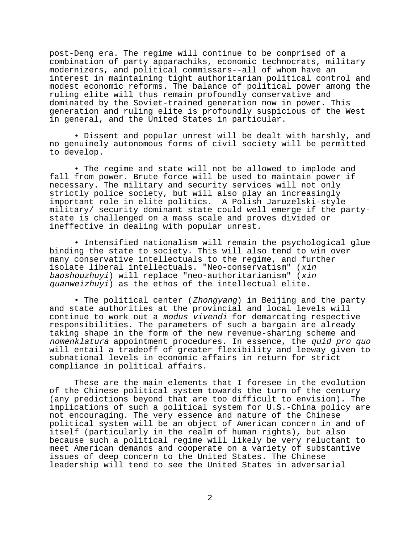post-Deng era. The regime will continue to be comprised of a combination of party apparachiks, economic technocrats, military modernizers, and political commissars--all of whom have an interest in maintaining tight authoritarian political control and modest economic reforms. The balance of political power among the ruling elite will thus remain profoundly conservative and dominated by the Soviet-trained generation now in power. This generation and ruling elite is profoundly suspicious of the West in general, and the United States in particular.

• Dissent and popular unrest will be dealt with harshly, and no genuinely autonomous forms of civil society will be permitted to develop.

• The regime and state will not be allowed to implode and fall from power. Brute force will be used to maintain power if necessary. The military and security services will not only strictly police society, but will also play an increasingly important role in elite politics. A Polish Jaruzelski-style military/ security dominant state could well emerge if the partystate is challenged on a mass scale and proves divided or ineffective in dealing with popular unrest.

• Intensified nationalism will remain the psychological glue binding the state to society. This will also tend to win over many conservative intellectuals to the regime, and further isolate liberal intellectuals. "Neo-conservatism" (xin baoshouzhuyi) will replace "neo-authoritarianism" (xin quanweizhuyi) as the ethos of the intellectual elite.

• The political center (Zhongyang) in Beijing and the party and state authorities at the provincial and local levels will continue to work out a modus vivendi for demarcating respective responsibilities. The parameters of such a bargain are already taking shape in the form of the new revenue-sharing scheme and nomenklatura appointment procedures. In essence, the quid pro quo will entail a tradeoff of greater flexibility and leeway given to subnational levels in economic affairs in return for strict compliance in political affairs.

These are the main elements that I foresee in the evolution of the Chinese political system towards the turn of the century (any predictions beyond that are too difficult to envision). The implications of such a political system for U.S.-China policy are not encouraging. The very essence and nature of the Chinese political system will be an object of American concern in and of itself (particularly in the realm of human rights), but also because such a political regime will likely be very reluctant to meet American demands and cooperate on a variety of substantive issues of deep concern to the United States. The Chinese leadership will tend to see the United States in adversarial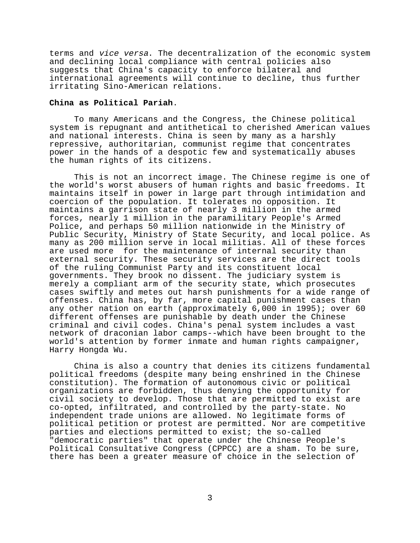terms and vice versa. The decentralization of the economic system and declining local compliance with central policies also suggests that China's capacity to enforce bilateral and international agreements will continue to decline, thus further irritating Sino-American relations.

### **China as Political Pariah**.

To many Americans and the Congress, the Chinese political system is repugnant and antithetical to cherished American values and national interests. China is seen by many as a harshly repressive, authoritarian, communist regime that concentrates power in the hands of a despotic few and systematically abuses the human rights of its citizens.

This is not an incorrect image. The Chinese regime is one of the world's worst abusers of human rights and basic freedoms. It maintains itself in power in large part through intimidation and coercion of the population. It tolerates no opposition. It maintains a garrison state of nearly 3 million in the armed forces, nearly 1 million in the paramilitary People's Armed Police, and perhaps 50 million nationwide in the Ministry of Public Security, Ministry of State Security, and local police. As many as 200 million serve in local militias. All of these forces are used more for the maintenance of internal security than external security. These security services are the direct tools of the ruling Communist Party and its constituent local governments. They brook no dissent. The judiciary system is merely a compliant arm of the security state, which prosecutes cases swiftly and metes out harsh punishments for a wide range of offenses. China has, by far, more capital punishment cases than any other nation on earth (approximately 6,000 in 1995); over 60 different offenses are punishable by death under the Chinese criminal and civil codes. China's penal system includes a vast network of draconian labor camps--which have been brought to the world's attention by former inmate and human rights campaigner, Harry Hongda Wu.

China is also a country that denies its citizens fundamental political freedoms (despite many being enshrined in the Chinese constitution). The formation of autonomous civic or political organizations are forbidden, thus denying the opportunity for civil society to develop. Those that are permitted to exist are co-opted, infiltrated, and controlled by the party-state. No independent trade unions are allowed. No legitimate forms of political petition or protest are permitted. Nor are competitive parties and elections permitted to exist; the so-called "democratic parties" that operate under the Chinese People's Political Consultative Congress (CPPCC) are a sham. To be sure, there has been a greater measure of choice in the selection of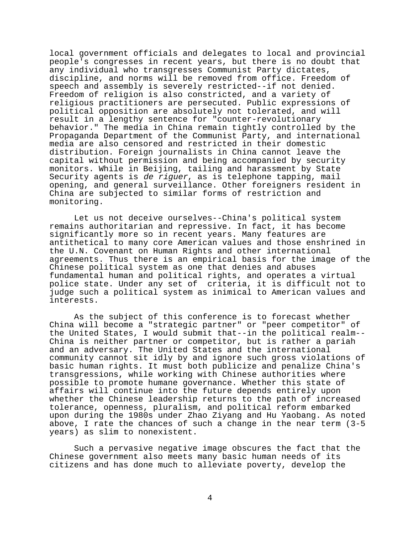local government officials and delegates to local and provincial people's congresses in recent years, but there is no doubt that any individual who transgresses Communist Party dictates, discipline, and norms will be removed from office. Freedom of speech and assembly is severely restricted--if not denied. Freedom of religion is also constricted, and a variety of religious practitioners are persecuted. Public expressions of political opposition are absolutely not tolerated, and will result in a lengthy sentence for "counter-revolutionary behavior." The media in China remain tightly controlled by the Propaganda Department of the Communist Party, and international media are also censored and restricted in their domestic distribution. Foreign journalists in China cannot leave the capital without permission and being accompanied by security monitors. While in Beijing, tailing and harassment by State Security agents is de riguer, as is telephone tapping, mail opening, and general surveillance. Other foreigners resident in China are subjected to similar forms of restriction and monitoring.

Let us not deceive ourselves--China's political system remains authoritarian and repressive. In fact, it has become significantly more so in recent years. Many features are antithetical to many core American values and those enshrined in the U.N. Covenant on Human Rights and other international agreements. Thus there is an empirical basis for the image of the Chinese political system as one that denies and abuses fundamental human and political rights, and operates a virtual police state. Under any set of criteria, it is difficult not to judge such a political system as inimical to American values and interests.

As the subject of this conference is to forecast whether China will become a "strategic partner" or "peer competitor" of the United States, I would submit that--in the political realm-- China is neither partner or competitor, but is rather a pariah and an adversary. The United States and the international community cannot sit idly by and ignore such gross violations of basic human rights. It must both publicize and penalize China's transgressions, while working with Chinese authorities where possible to promote humane governance. Whether this state of affairs will continue into the future depends entirely upon whether the Chinese leadership returns to the path of increased tolerance, openness, pluralism, and political reform embarked upon during the 1980s under Zhao Ziyang and Hu Yaobang. As noted above, I rate the chances of such a change in the near term (3-5 years) as slim to nonexistent.

Such a pervasive negative image obscures the fact that the Chinese government also meets many basic human needs of its citizens and has done much to alleviate poverty, develop the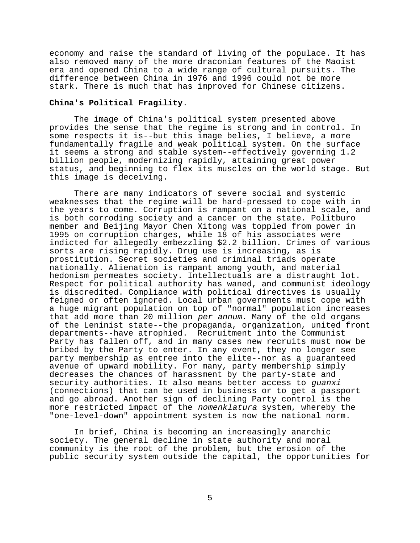economy and raise the standard of living of the populace. It has also removed many of the more draconian features of the Maoist era and opened China to a wide range of cultural pursuits. The difference between China in 1976 and 1996 could not be more stark. There is much that has improved for Chinese citizens.

# **China's Political Fragility**.

The image of China's political system presented above provides the sense that the regime is strong and in control. In some respects it is--but this image belies, I believe, a more fundamentally fragile and weak political system. On the surface it seems a strong and stable system--effectively governing 1.2 billion people, modernizing rapidly, attaining great power status, and beginning to flex its muscles on the world stage. But this image is deceiving.

There are many indicators of severe social and systemic weaknesses that the regime will be hard-pressed to cope with in the years to come. Corruption is rampant on a national scale, and is both corroding society and a cancer on the state. Politburo member and Beijing Mayor Chen Xitong was toppled from power in 1995 on corruption charges, while 18 of his associates were indicted for allegedly embezzling \$2.2 billion. Crimes of various sorts are rising rapidly. Drug use is increasing, as is prostitution. Secret societies and criminal triads operate nationally. Alienation is rampant among youth, and material hedonism permeates society. Intellectuals are a distraught lot. Respect for political authority has waned, and communist ideology is discredited. Compliance with political directives is usually feigned or often ignored. Local urban governments must cope with a huge migrant population on top of "normal" population increases that add more than 20 million per annum. Many of the old organs of the Leninist state--the propaganda, organization, united front departments--have atrophied. Recruitment into the Communist Party has fallen off, and in many cases new recruits must now be bribed by the Party to enter. In any event, they no longer see party membership as entree into the elite--nor as a guaranteed avenue of upward mobility. For many, party membership simply decreases the chances of harassment by the party-state and security authorities. It also means better access to guanxi (connections) that can be used in business or to get a passport and go abroad. Another sign of declining Party control is the more restricted impact of the nomenklatura system, whereby the "one-level-down" appointment system is now the national norm.

In brief, China is becoming an increasingly anarchic society. The general decline in state authority and moral community is the root of the problem, but the erosion of the public security system outside the capital, the opportunities for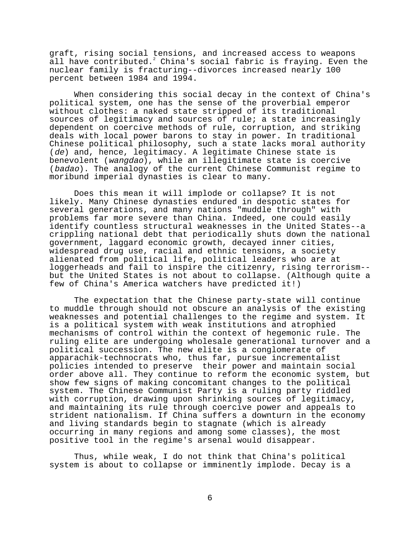graft, rising social tensions, and increased access to weapons all have contributed. $^2$  China's social fabric is fraying. Even the nuclear family is fracturing--divorces increased nearly 100 percent between 1984 and 1994.

When considering this social decay in the context of China's political system, one has the sense of the proverbial emperor without clothes: a naked state stripped of its traditional sources of legitimacy and sources of rule; a state increasingly dependent on coercive methods of rule, corruption, and striking deals with local power barons to stay in power. In traditional Chinese political philosophy, such a state lacks moral authority (de) and, hence, legitimacy. A legitimate Chinese state is benevolent (wangdao), while an illegitimate state is coercive (badao). The analogy of the current Chinese Communist regime to moribund imperial dynasties is clear to many.

Does this mean it will implode or collapse? It is not likely. Many Chinese dynasties endured in despotic states for several generations, and many nations "muddle through" with problems far more severe than China. Indeed, one could easily identify countless structural weaknesses in the United States--a crippling national debt that periodically shuts down the national government, laggard economic growth, decayed inner cities, widespread drug use, racial and ethnic tensions, a society alienated from political life, political leaders who are at loggerheads and fail to inspire the citizenry, rising terrorism- but the United States is not about to collapse. (Although quite a few of China's America watchers have predicted it!)

The expectation that the Chinese party-state will continue to muddle through should not obscure an analysis of the existing weaknesses and potential challenges to the regime and system. It is a political system with weak institutions and atrophied mechanisms of control within the context of hegemonic rule. The ruling elite are undergoing wholesale generational turnover and a political succession. The new elite is a conglomerate of apparachik-technocrats who, thus far, pursue incrementalist policies intended to preserve their power and maintain social order above all. They continue to reform the economic system, but show few signs of making concomitant changes to the political system. The Chinese Communist Party is a ruling party riddled with corruption, drawing upon shrinking sources of legitimacy, and maintaining its rule through coercive power and appeals to strident nationalism. If China suffers a downturn in the economy and living standards begin to stagnate (which is already occurring in many regions and among some classes), the most positive tool in the regime's arsenal would disappear.

Thus, while weak, I do not think that China's political system is about to collapse or imminently implode. Decay is a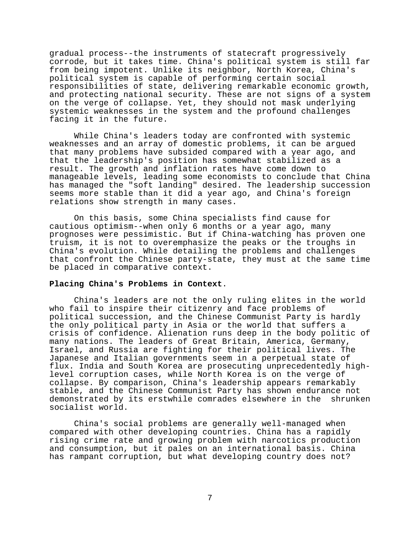gradual process--the instruments of statecraft progressively corrode, but it takes time. China's political system is still far from being impotent. Unlike its neighbor, North Korea, China's political system is capable of performing certain social responsibilities of state, delivering remarkable economic growth, and protecting national security. These are not signs of a system on the verge of collapse. Yet, they should not mask underlying systemic weaknesses in the system and the profound challenges facing it in the future.

While China's leaders today are confronted with systemic weaknesses and an array of domestic problems, it can be argued that many problems have subsided compared with a year ago, and that the leadership's position has somewhat stabilized as a result. The growth and inflation rates have come down to manageable levels, leading some economists to conclude that China has managed the "soft landing" desired. The leadership succession seems more stable than it did a year ago, and China's foreign relations show strength in many cases.

On this basis, some China specialists find cause for cautious optimism--when only 6 months or a year ago, many prognoses were pessimistic. But if China-watching has proven one truism, it is not to overemphasize the peaks or the troughs in China's evolution. While detailing the problems and challenges that confront the Chinese party-state, they must at the same time be placed in comparative context.

### **Placing China's Problems in Context**.

China's leaders are not the only ruling elites in the world who fail to inspire their citizenry and face problems of political succession, and the Chinese Communist Party is hardly the only political party in Asia or the world that suffers a crisis of confidence. Alienation runs deep in the body politic of many nations. The leaders of Great Britain, America, Germany, Israel, and Russia are fighting for their political lives. The Japanese and Italian governments seem in a perpetual state of flux. India and South Korea are prosecuting unprecedentedly highlevel corruption cases, while North Korea is on the verge of collapse. By comparison, China's leadership appears remarkably stable, and the Chinese Communist Party has shown endurance not demonstrated by its erstwhile comrades elsewhere in the shrunken socialist world.

China's social problems are generally well-managed when compared with other developing countries. China has a rapidly rising crime rate and growing problem with narcotics production and consumption, but it pales on an international basis. China has rampant corruption, but what developing country does not?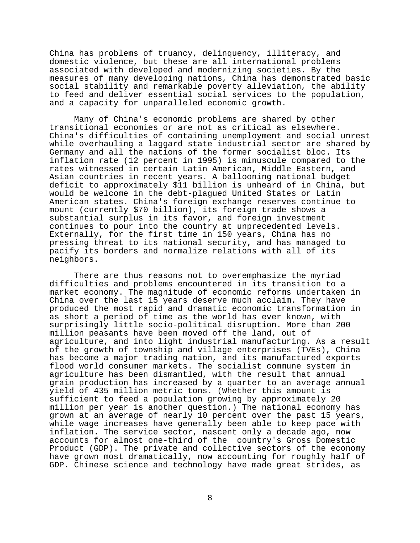China has problems of truancy, delinquency, illiteracy, and domestic violence, but these are all international problems associated with developed and modernizing societies. By the measures of many developing nations, China has demonstrated basic social stability and remarkable poverty alleviation, the ability to feed and deliver essential social services to the population, and a capacity for unparalleled economic growth.

Many of China's economic problems are shared by other transitional economies or are not as critical as elsewhere. China's difficulties of containing unemployment and social unrest while overhauling a laggard state industrial sector are shared by Germany and all the nations of the former socialist bloc. Its inflation rate (12 percent in 1995) is minuscule compared to the rates witnessed in certain Latin American, Middle Eastern, and Asian countries in recent years. A ballooning national budget deficit to approximately \$11 billion is unheard of in China, but would be welcome in the debt-plagued United States or Latin American states. China's foreign exchange reserves continue to mount (currently \$70 billion), its foreign trade shows a substantial surplus in its favor, and foreign investment continues to pour into the country at unprecedented levels. Externally, for the first time in 150 years, China has no pressing threat to its national security, and has managed to pacify its borders and normalize relations with all of its neighbors.

There are thus reasons not to overemphasize the myriad difficulties and problems encountered in its transition to a market economy. The magnitude of economic reforms undertaken in China over the last 15 years deserve much acclaim. They have produced the most rapid and dramatic economic transformation in as short a period of time as the world has ever known, with surprisingly little socio-political disruption. More than 200 million peasants have been moved off the land, out of agriculture, and into light industrial manufacturing. As a result of the growth of township and village enterprises (TVEs), China has become a major trading nation, and its manufactured exports flood world consumer markets. The socialist commune system in agriculture has been dismantled, with the result that annual grain production has increased by a quarter to an average annual yield of 435 million metric tons. (Whether this amount is sufficient to feed a population growing by approximately 20 million per year is another question.) The national economy has grown at an average of nearly 10 percent over the past 15 years, while wage increases have generally been able to keep pace with inflation. The service sector, nascent only a decade ago, now accounts for almost one-third of the country's Gross Domestic Product (GDP). The private and collective sectors of the economy have grown most dramatically, now accounting for roughly half of GDP. Chinese science and technology have made great strides, as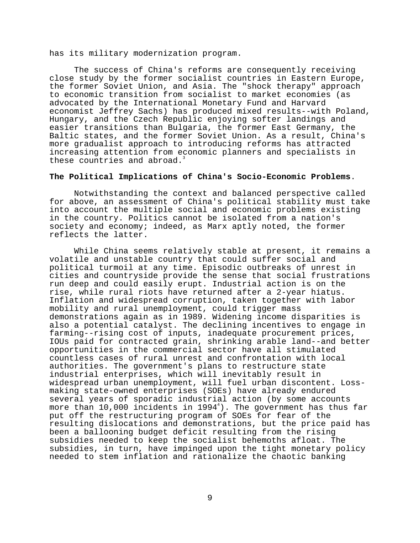has its military modernization program.

The success of China's reforms are consequently receiving close study by the former socialist countries in Eastern Europe, the former Soviet Union, and Asia. The "shock therapy" approach to economic transition from socialist to market economies (as advocated by the International Monetary Fund and Harvard economist Jeffrey Sachs) has produced mixed results--with Poland, Hungary, and the Czech Republic enjoying softer landings and easier transitions than Bulgaria, the former East Germany, the Baltic states, and the former Soviet Union. As a result, China's more gradualist approach to introducing reforms has attracted increasing attention from economic planners and specialists in these countries and abroad.

# **The Political Implications of China's Socio-Economic Problems**.

Notwithstanding the context and balanced perspective called for above, an assessment of China's political stability must take into account the multiple social and economic problems existing in the country. Politics cannot be isolated from a nation's society and economy; indeed, as Marx aptly noted, the former reflects the latter.

While China seems relatively stable at present, it remains a volatile and unstable country that could suffer social and political turmoil at any time. Episodic outbreaks of unrest in cities and countryside provide the sense that social frustrations run deep and could easily erupt. Industrial action is on the rise, while rural riots have returned after a 2-year hiatus. Inflation and widespread corruption, taken together with labor mobility and rural unemployment, could trigger mass demonstrations again as in 1989. Widening income disparities is also a potential catalyst. The declining incentives to engage in farming--rising cost of inputs, inadequate procurement prices, IOUs paid for contracted grain, shrinking arable land--and better opportunities in the commercial sector have all stimulated countless cases of rural unrest and confrontation with local authorities. The government's plans to restructure state industrial enterprises, which will inevitably result in widespread urban unemployment, will fuel urban discontent. Lossmaking state-owned enterprises (SOEs) have already endured several years of sporadic industrial action (by some accounts more than 10,000 incidents in 1994 $^{\rm 4}$ ). The government has thus far put off the restructuring program of SOEs for fear of the resulting dislocations and demonstrations, but the price paid has been a ballooning budget deficit resulting from the rising subsidies needed to keep the socialist behemoths afloat. The subsidies, in turn, have impinged upon the tight monetary policy needed to stem inflation and rationalize the chaotic banking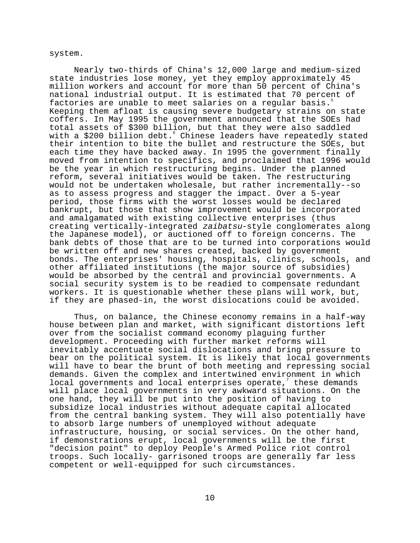#### system.

Nearly two-thirds of China's 12,000 large and medium-sized state industries lose money, yet they employ approximately 45 million workers and account for more than 50 percent of China's national industrial output. It is estimated that 70 percent of factories are unable to meet salaries on a regular basis. Keeping them afloat is causing severe budgetary strains on state coffers. In May 1995 the government announced that the SOEs had total assets of \$300 billion, but that they were also saddled with a \$200 billion debt. Chinese leaders have repeatedly stated their intention to bite the bullet and restructure the SOEs, but each time they have backed away. In 1995 the government finally moved from intention to specifics, and proclaimed that 1996 would be the year in which restructuring begins. Under the planned reform, several initiatives would be taken. The restructuring would not be undertaken wholesale, but rather incrementally--so as to assess progress and stagger the impact. Over a 5-year period, those firms with the worst losses would be declared bankrupt, but those that show improvement would be incorporated and amalgamated with existing collective enterprises (thus creating vertically-integrated zaibatsu-style conglomerates along the Japanese model), or auctioned off to foreign concerns. The bank debts of those that are to be turned into corporations would be written off and new shares created, backed by government bonds. The enterprises' housing, hospitals, clinics, schools, and other affiliated institutions (the major source of subsidies) would be absorbed by the central and provincial governments. A social security system is to be readied to compensate redundant workers. It is questionable whether these plans will work, but, if they are phased-in, the worst dislocations could be avoided.

Thus, on balance, the Chinese economy remains in a half-way house between plan and market, with significant distortions left over from the socialist command economy plaguing further development. Proceeding with further market reforms will inevitably accentuate social dislocations and bring pressure to bear on the political system. It is likely that local governments will have to bear the brunt of both meeting and repressing social demands. Given the complex and intertwined environment in which local governments and local enterprises operate, $\overline{a}$  these demands will place local governments in very awkward situations. On the one hand, they will be put into the position of having to subsidize local industries without adequate capital allocated from the central banking system. They will also potentially have to absorb large numbers of unemployed without adequate infrastructure, housing, or social services. On the other hand, if demonstrations erupt, local governments will be the first "decision point" to deploy People's Armed Police riot control troops. Such locally- garrisoned troops are generally far less competent or well-equipped for such circumstances.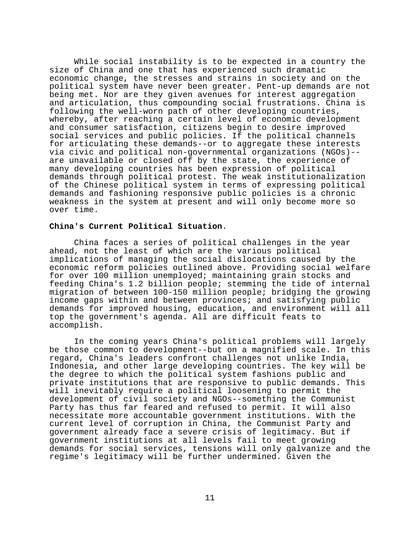While social instability is to be expected in a country the size of China and one that has experienced such dramatic economic change, the stresses and strains in society and on the political system have never been greater. Pent-up demands are not being met. Nor are they given avenues for interest aggregation and articulation, thus compounding social frustrations. China is following the well-worn path of other developing countries, whereby, after reaching a certain level of economic development and consumer satisfaction, citizens begin to desire improved social services and public policies. If the political channels for articulating these demands--or to aggregate these interests via civic and political non-governmental organizations (NGOs)- are unavailable or closed off by the state, the experience of many developing countries has been expression of political demands through political protest. The weak institutionalization of the Chinese political system in terms of expressing political demands and fashioning responsive public policies is a chronic weakness in the system at present and will only become more so over time.

## **China's Current Political Situation**.

China faces a series of political challenges in the year ahead, not the least of which are the various political implications of managing the social dislocations caused by the economic reform policies outlined above. Providing social welfare for over 100 million unemployed; maintaining grain stocks and feeding China's 1.2 billion people; stemming the tide of internal migration of between 100-150 million people; bridging the growing income gaps within and between provinces; and satisfying public demands for improved housing, education, and environment will all top the government's agenda. All are difficult feats to accomplish.

In the coming years China's political problems will largely be those common to development--but on a magnified scale. In this regard, China's leaders confront challenges not unlike India, Indonesia, and other large developing countries. The key will be the degree to which the political system fashions public and private institutions that are responsive to public demands. This will inevitably require a political loosening to permit the development of civil society and NGOs--something the Communist Party has thus far feared and refused to permit. It will also necessitate more accountable government institutions. With the current level of corruption in China, the Communist Party and government already face a severe crisis of legitimacy. But if government institutions at all levels fail to meet growing demands for social services, tensions will only galvanize and the regime's legitimacy will be further undermined. Given the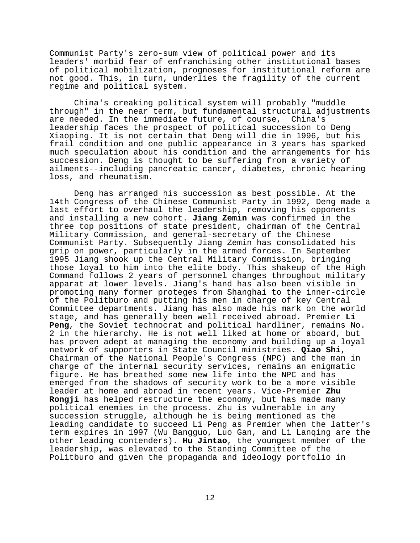Communist Party's zero-sum view of political power and its leaders' morbid fear of enfranchising other institutional bases of political mobilization, prognoses for institutional reform are not good. This, in turn, underlies the fragility of the current regime and political system.

China's creaking political system will probably "muddle through" in the near term, but fundamental structural adjustments are needed. In the immediate future, of course, China's leadership faces the prospect of political succession to Deng Xiaoping. It is not certain that Deng will die in 1996, but his frail condition and one public appearance in 3 years has sparked much speculation about his condition and the arrangements for his succession. Deng is thought to be suffering from a variety of ailments--including pancreatic cancer, diabetes, chronic hearing loss, and rheumatism.

Deng has arranged his succession as best possible. At the 14th Congress of the Chinese Communist Party in 1992, Deng made a last effort to overhaul the leadership, removing his opponents and installing a new cohort. **Jiang Zemin** was confirmed in the three top positions of state president, chairman of the Central Military Commission, and general-secretary of the Chinese Communist Party. Subsequently Jiang Zemin has consolidated his grip on power, particularly in the armed forces. In September 1995 Jiang shook up the Central Military Commission, bringing those loyal to him into the elite body. This shakeup of the High Command follows 2 years of personnel changes throughout military apparat at lower levels. Jiang's hand has also been visible in promoting many former proteges from Shanghai to the inner-circle of the Politburo and putting his men in charge of key Central Committee departments. Jiang has also made his mark on the world stage, and has generally been well received abroad. Premier **Li Peng**, the Soviet technocrat and political hardliner, remains No. 2 in the hierarchy. He is not well liked at home or aboard, but has proven adept at managing the economy and building up a loyal network of supporters in State Council ministries. **Qiao Shi**, Chairman of the National People's Congress (NPC) and the man in charge of the internal security services, remains an enigmatic figure. He has breathed some new life into the NPC and has emerged from the shadows of security work to be a more visible leader at home and abroad in recent years. Vice-Premier **Zhu Rongji** has helped restructure the economy, but has made many political enemies in the process. Zhu is vulnerable in any succession struggle, although he is being mentioned as the leading candidate to succeed Li Peng as Premier when the latter's term expires in 1997 (Wu Bangguo, Luo Gan, and Li Lanqing are the other leading contenders). **Hu Jintao**, the youngest member of the leadership, was elevated to the Standing Committee of the Politburo and given the propaganda and ideology portfolio in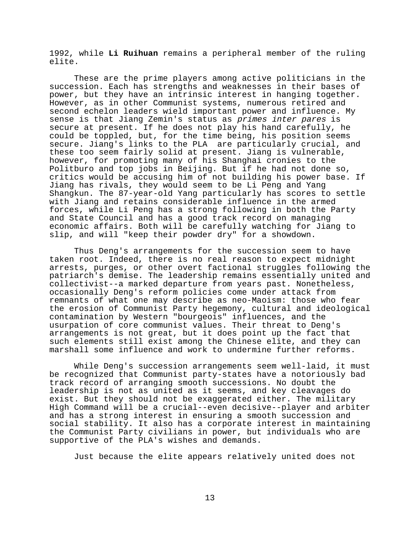1992, while **Li Ruihuan** remains a peripheral member of the ruling elite.

These are the prime players among active politicians in the succession. Each has strengths and weaknesses in their bases of power, but they have an intrinsic interest in hanging together. However, as in other Communist systems, numerous retired and second echelon leaders wield important power and influence. My sense is that Jiang Zemin's status as primes inter pares is secure at present. If he does not play his hand carefully, he could be toppled, but, for the time being, his position seems secure. Jiang's links to the PLA are particularly crucial, and these too seem fairly solid at present. Jiang is vulnerable, however, for promoting many of his Shanghai cronies to the Politburo and top jobs in Beijing. But if he had not done so, critics would be accusing him of not building his power base. If Jiang has rivals, they would seem to be Li Peng and Yang Shangkun. The 87-year-old Yang particularly has scores to settle with Jiang and retains considerable influence in the armed forces, while Li Peng has a strong following in both the Party and State Council and has a good track record on managing economic affairs. Both will be carefully watching for Jiang to slip, and will "keep their powder dry" for a showdown.

Thus Deng's arrangements for the succession seem to have taken root. Indeed, there is no real reason to expect midnight arrests, purges, or other overt factional struggles following the patriarch's demise. The leadership remains essentially united and collectivist--a marked departure from years past. Nonetheless, occasionally Deng's reform policies come under attack from remnants of what one may describe as neo-Maoism: those who fear the erosion of Communist Party hegemony, cultural and ideological contamination by Western "bourgeois" influences, and the usurpation of core communist values. Their threat to Deng's arrangements is not great, but it does point up the fact that such elements still exist among the Chinese elite, and they can marshall some influence and work to undermine further reforms.

While Deng's succession arrangements seem well-laid, it must be recognized that Communist party-states have a notoriously bad track record of arranging smooth successions. No doubt the leadership is not as united as it seems, and key cleavages do exist. But they should not be exaggerated either. The military High Command will be a crucial--even decisive--player and arbiter and has a strong interest in ensuring a smooth succession and social stability. It also has a corporate interest in maintaining the Communist Party civilians in power, but individuals who are supportive of the PLA's wishes and demands.

Just because the elite appears relatively united does not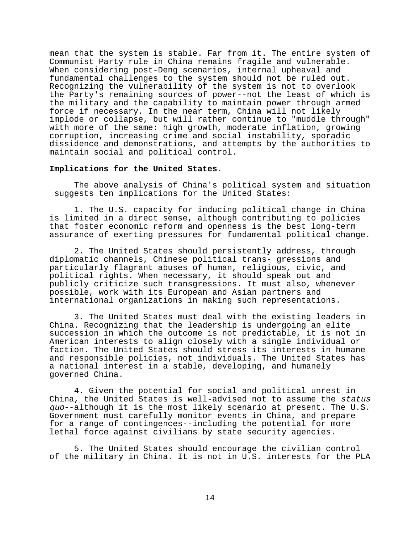mean that the system is stable. Far from it. The entire system of Communist Party rule in China remains fragile and vulnerable. When considering post-Deng scenarios, internal upheaval and fundamental challenges to the system should not be ruled out. Recognizing the vulnerability of the system is not to overlook the Party's remaining sources of power--not the least of which is the military and the capability to maintain power through armed force if necessary. In the near term, China will not likely implode or collapse, but will rather continue to "muddle through" with more of the same: high growth, moderate inflation, growing corruption, increasing crime and social instability, sporadic dissidence and demonstrations, and attempts by the authorities to maintain social and political control.

### **Implications for the United States**.

The above analysis of China's political system and situation suggests ten implications for the United States:

1. The U.S. capacity for inducing political change in China is limited in a direct sense, although contributing to policies that foster economic reform and openness is the best long-term assurance of exerting pressures for fundamental political change.

2. The United States should persistently address, through diplomatic channels, Chinese political trans- gressions and particularly flagrant abuses of human, religious, civic, and political rights. When necessary, it should speak out and publicly criticize such transgressions. It must also, whenever possible, work with its European and Asian partners and international organizations in making such representations.

3. The United States must deal with the existing leaders in China. Recognizing that the leadership is undergoing an elite succession in which the outcome is not predictable, it is not in American interests to align closely with a single individual or faction. The United States should stress its interests in humane and responsible policies, not individuals. The United States has a national interest in a stable, developing, and humanely governed China.

4. Given the potential for social and political unrest in China, the United States is well-advised not to assume the status quo--although it is the most likely scenario at present. The U.S. Government must carefully monitor events in China, and prepare for a range of contingences--including the potential for more lethal force against civilians by state security agencies.

5. The United States should encourage the civilian control of the military in China. It is not in U.S. interests for the PLA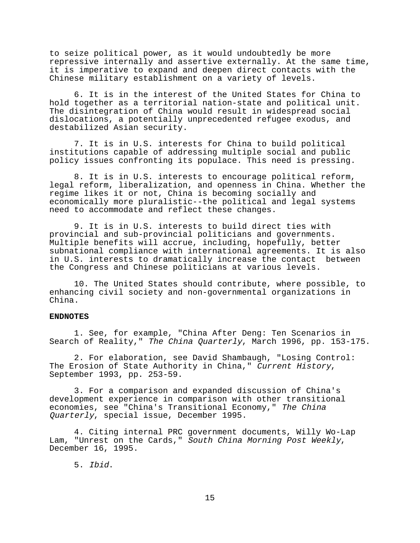to seize political power, as it would undoubtedly be more repressive internally and assertive externally. At the same time, it is imperative to expand and deepen direct contacts with the Chinese military establishment on a variety of levels.

6. It is in the interest of the United States for China to hold together as a territorial nation-state and political unit. The disintegration of China would result in widespread social dislocations, a potentially unprecedented refugee exodus, and destabilized Asian security.

7. It is in U.S. interests for China to build political institutions capable of addressing multiple social and public policy issues confronting its populace. This need is pressing.

8. It is in U.S. interests to encourage political reform, legal reform, liberalization, and openness in China. Whether the regime likes it or not, China is becoming socially and economically more pluralistic--the political and legal systems need to accommodate and reflect these changes.

9. It is in U.S. interests to build direct ties with provincial and sub-provincial politicians and governments. Multiple benefits will accrue, including, hopefully, better subnational compliance with international agreements. It is also in U.S. interests to dramatically increase the contact between the Congress and Chinese politicians at various levels.

10. The United States should contribute, where possible, to enhancing civil society and non-governmental organizations in China.

### **ENDNOTES**

1. See, for example, "China After Deng: Ten Scenarios in Search of Reality," The China Quarterly, March 1996, pp. 153-175.

2. For elaboration, see David Shambaugh, "Losing Control: The Erosion of State Authority in China," Current History,<br>September 1993, pp. 253-59.

3. For a comparison and expanded discussion of China's development experience in comparison with other transitional economies, see "China's Transitional Economy," The China Quarterly, special issue, December 1995.

4. Citing internal PRC government documents, Willy Wo-Lap Lam, "Unrest on the Cards," South China Morning Post Weekly, December 16, 1995.

5. Ibid.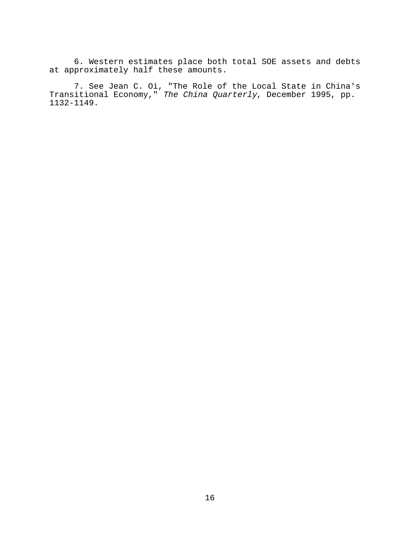6. Western estimates place both total SOE assets and debts at approximately half these amounts.

7. See Jean C. Oi, "The Role of the Local State in China's Transitional Economy," The China Quarterly, December 1995, pp. 1132-1149.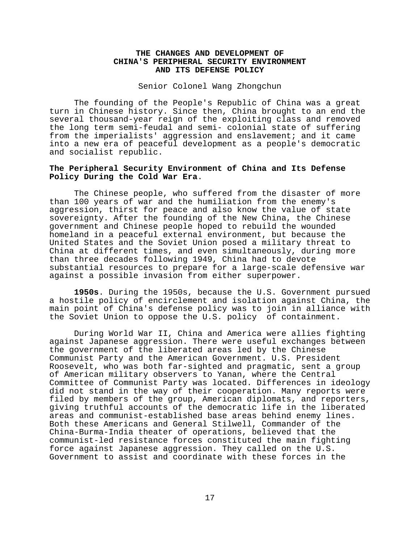# **THE CHANGES AND DEVELOPMENT OF CHINA'S PERIPHERAL SECURITY ENVIRONMENT AND ITS DEFENSE POLICY**

Senior Colonel Wang Zhongchun

The founding of the People's Republic of China was a great turn in Chinese history. Since then, China brought to an end the several thousand-year reign of the exploiting class and removed the long term semi-feudal and semi- colonial state of suffering from the imperialists' aggression and enslavement; and it came into a new era of peaceful development as a people's democratic and socialist republic.

# **The Peripheral Security Environment of China and Its Defense Policy During the Cold War Era**.

The Chinese people, who suffered from the disaster of more than 100 years of war and the humiliation from the enemy's aggression, thirst for peace and also know the value of state sovereignty. After the founding of the New China, the Chinese government and Chinese people hoped to rebuild the wounded homeland in a peaceful external environment, but because the United States and the Soviet Union posed a military threat to China at different times, and even simultaneously, during more than three decades following 1949, China had to devote substantial resources to prepare for a large-scale defensive war against a possible invasion from either superpower.

**1950s**. During the 1950s, because the U.S. Government pursued a hostile policy of encirclement and isolation against China, the main point of China's defense policy was to join in alliance with the Soviet Union to oppose the U.S. policy of containment.

During World War II, China and America were allies fighting against Japanese aggression. There were useful exchanges between the government of the liberated areas led by the Chinese Communist Party and the American Government. U.S. President Roosevelt, who was both far-sighted and pragmatic, sent a group of American military observers to Yanan, where the Central Committee of Communist Party was located. Differences in ideology did not stand in the way of their cooperation. Many reports were filed by members of the group, American diplomats, and reporters, giving truthful accounts of the democratic life in the liberated areas and communist-established base areas behind enemy lines. Both these Americans and General Stilwell, Commander of the China-Burma-India theater of operations, believed that the communist-led resistance forces constituted the main fighting force against Japanese aggression. They called on the U.S. Government to assist and coordinate with these forces in the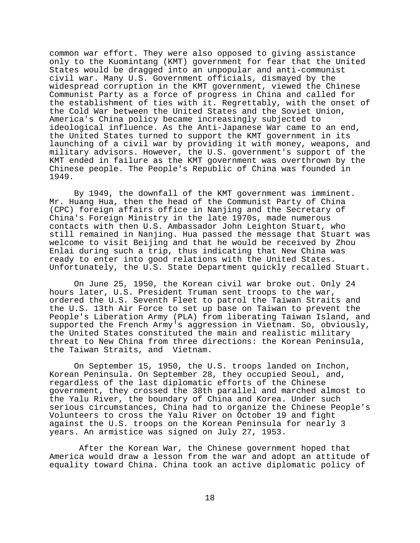common war effort. They were also opposed to giving assistance only to the Kuomintang (KMT) government for fear that the United States would be dragged into an unpopular and anti-communist civil war. Many U.S. Government officials, dismayed by the widespread corruption in the KMT government, viewed the Chinese Communist Party as a force of progress in China and called for the establishment of ties with it. Regrettably, with the onset of the Cold War between the United States and the Soviet Union, America's China policy became increasingly subjected to ideological influence. As the Anti-Japanese War came to an end, the United States turned to support the KMT government in its launching of a civil war by providing it with money, weapons, and military advisors. However, the U.S. government's support of the KMT ended in failure as the KMT government was overthrown by the Chinese people. The People's Republic of China was founded in 1949.

By 1949, the downfall of the KMT government was imminent. Mr. Huang Hua, then the head of the Communist Party of China (CPC) foreign affairs office in Nanjing and the Secretary of China's Foreign Ministry in the late 1970s, made numerous contacts with then U.S. Ambassador John Leighton Stuart, who still remained in Nanjing. Hua passed the message that Stuart was welcome to visit Beijing and that he would be received by Zhou Enlai during such a trip, thus indicating that New China was ready to enter into good relations with the United States. Unfortunately, the U.S. State Department quickly recalled Stuart.

On June 25, 1950, the Korean civil war broke out. Only 24 hours later, U.S. President Truman sent troops to the war, ordered the U.S. Seventh Fleet to patrol the Taiwan Straits and the U.S. 13th Air Force to set up base on Taiwan to prevent the People's Liberation Army (PLA) from liberating Taiwan Island, and supported the French Army's aggression in Vietnam. So, obviously, the United States constituted the main and realistic military threat to New China from three directions: the Korean Peninsula, the Taiwan Straits, and Vietnam.

On September 15, 1950, the U.S. troops landed on Inchon, Korean Peninsula. On September 28, they occupied Seoul, and, regardless of the last diplomatic efforts of the Chinese government, they crossed the 38th parallel and marched almost to the Yalu River, the boundary of China and Korea. Under such serious circumstances, China had to organize the Chinese People's Volunteers to cross the Yalu River on October 19 and fight against the U.S. troops on the Korean Peninsula for nearly 3 years. An armistice was signed on July 27, 1953.

 After the Korean War, the Chinese government hoped that America would draw a lesson from the war and adopt an attitude of equality toward China. China took an active diplomatic policy of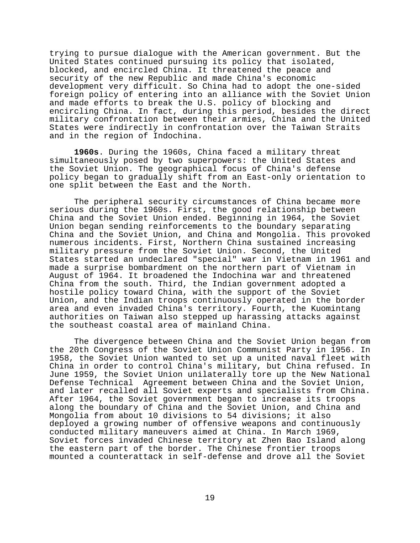trying to pursue dialogue with the American government. But the United States continued pursuing its policy that isolated, blocked, and encircled China. It threatened the peace and security of the new Republic and made China's economic development very difficult. So China had to adopt the one-sided foreign policy of entering into an alliance with the Soviet Union and made efforts to break the U.S. policy of blocking and encircling China. In fact, during this period, besides the direct military confrontation between their armies, China and the United States were indirectly in confrontation over the Taiwan Straits and in the region of Indochina.

**1960s**. During the 1960s, China faced a military threat simultaneously posed by two superpowers: the United States and the Soviet Union. The geographical focus of China's defense policy began to gradually shift from an East-only orientation to one split between the East and the North.

The peripheral security circumstances of China became more serious during the 1960s. First, the good relationship between China and the Soviet Union ended. Beginning in 1964, the Soviet Union began sending reinforcements to the boundary separating China and the Soviet Union, and China and Mongolia. This provoked numerous incidents. First, Northern China sustained increasing military pressure from the Soviet Union. Second, the United States started an undeclared "special" war in Vietnam in 1961 and made a surprise bombardment on the northern part of Vietnam in August of 1964. It broadened the Indochina war and threatened China from the south. Third, the Indian government adopted a hostile policy toward China, with the support of the Soviet Union, and the Indian troops continuously operated in the border area and even invaded China's territory. Fourth, the Kuomintang authorities on Taiwan also stepped up harassing attacks against the southeast coastal area of mainland China.

The divergence between China and the Soviet Union began from the 20th Congress of the Soviet Union Communist Party in 1956. In 1958, the Soviet Union wanted to set up a united naval fleet with China in order to control China's military, but China refused. In June 1959, the Soviet Union unilaterally tore up the New National Defense Technical Agreement between China and the Soviet Union, and later recalled all Soviet experts and specialists from China. After 1964, the Soviet government began to increase its troops along the boundary of China and the Soviet Union, and China and Mongolia from about 10 divisions to 54 divisions; it also deployed a growing number of offensive weapons and continuously conducted military maneuvers aimed at China. In March 1969, Soviet forces invaded Chinese territory at Zhen Bao Island along the eastern part of the border. The Chinese frontier troops mounted a counterattack in self-defense and drove all the Soviet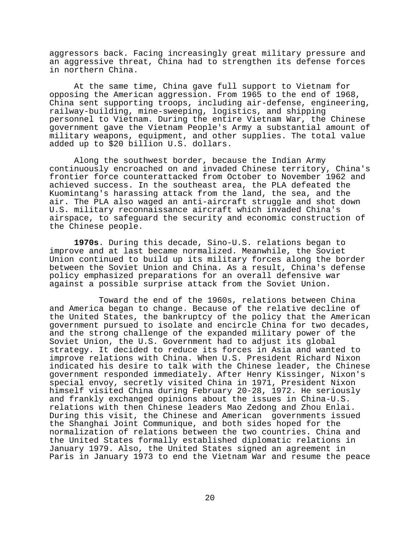aggressors back. Facing increasingly great military pressure and an aggressive threat, China had to strengthen its defense forces in northern China.

At the same time, China gave full support to Vietnam for opposing the American aggression. From 1965 to the end of 1968, China sent supporting troops, including air-defense, engineering, railway-building, mine-sweeping, logistics, and shipping personnel to Vietnam. During the entire Vietnam War, the Chinese government gave the Vietnam People's Army a substantial amount of military weapons, equipment, and other supplies. The total value added up to \$20 billion U.S. dollars.

Along the southwest border, because the Indian Army continuously encroached on and invaded Chinese territory, China's frontier force counterattacked from October to November 1962 and achieved success. In the southeast area, the PLA defeated the Kuomintang's harassing attack from the land, the sea, and the air. The PLA also waged an anti-aircraft struggle and shot down U.S. military reconnaissance aircraft which invaded China's airspace, to safeguard the security and economic construction of the Chinese people.

**1970s**. During this decade, Sino-U.S. relations began to improve and at last became normalized. Meanwhile, the Soviet Union continued to build up its military forces along the border between the Soviet Union and China. As a result, China's defense policy emphasized preparations for an overall defensive war against a possible surprise attack from the Soviet Union.

 Toward the end of the 1960s, relations between China and America began to change. Because of the relative decline of the United States, the bankruptcy of the policy that the American government pursued to isolate and encircle China for two decades, and the strong challenge of the expanded military power of the Soviet Union, the U.S. Government had to adjust its global strategy. It decided to reduce its forces in Asia and wanted to improve relations with China. When U.S. President Richard Nixon indicated his desire to talk with the Chinese leader, the Chinese government responded immediately. After Henry Kissinger, Nixon's special envoy, secretly visited China in 1971, President Nixon himself visited China during February 20-28, 1972. He seriously and frankly exchanged opinions about the issues in China-U.S. relations with then Chinese leaders Mao Zedong and Zhou Enlai. During this visit, the Chinese and American governments issued the Shanghai Joint Communique, and both sides hoped for the normalization of relations between the two countries. China and the United States formally established diplomatic relations in January 1979. Also, the United States signed an agreement in Paris in January 1973 to end the Vietnam War and resume the peace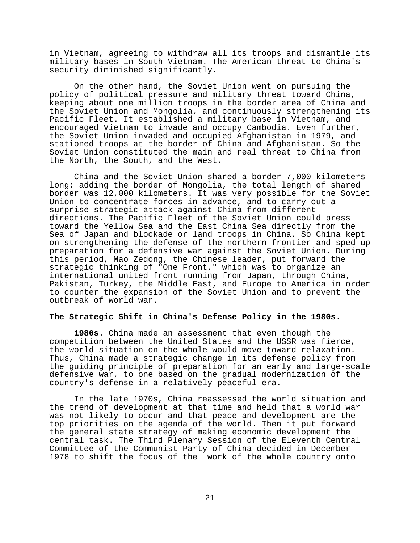in Vietnam, agreeing to withdraw all its troops and dismantle its military bases in South Vietnam. The American threat to China's security diminished significantly.

On the other hand, the Soviet Union went on pursuing the policy of political pressure and military threat toward China, keeping about one million troops in the border area of China and the Soviet Union and Mongolia, and continuously strengthening its Pacific Fleet. It established a military base in Vietnam, and encouraged Vietnam to invade and occupy Cambodia. Even further, the Soviet Union invaded and occupied Afghanistan in 1979, and stationed troops at the border of China and Afghanistan. So the Soviet Union constituted the main and real threat to China from the North, the South, and the West.

China and the Soviet Union shared a border 7,000 kilometers long; adding the border of Mongolia, the total length of shared border was 12,000 kilometers. It was very possible for the Soviet Union to concentrate forces in advance, and to carry out a surprise strategic attack against China from different directions. The Pacific Fleet of the Soviet Union could press toward the Yellow Sea and the East China Sea directly from the Sea of Japan and blockade or land troops in China. So China kept on strengthening the defense of the northern frontier and sped up preparation for a defensive war against the Soviet Union. During this period, Mao Zedong, the Chinese leader, put forward the strategic thinking of "One Front," which was to organize an international united front running from Japan, through China, Pakistan, Turkey, the Middle East, and Europe to America in order to counter the expansion of the Soviet Union and to prevent the outbreak of world war.

### **The Strategic Shift in China's Defense Policy in the 1980s**.

**1980s**. China made an assessment that even though the competition between the United States and the USSR was fierce, the world situation on the whole would move toward relaxation. Thus, China made a strategic change in its defense policy from the guiding principle of preparation for an early and large-scale defensive war, to one based on the gradual modernization of the country's defense in a relatively peaceful era.

In the late 1970s, China reassessed the world situation and the trend of development at that time and held that a world war was not likely to occur and that peace and development are the top priorities on the agenda of the world. Then it put forward the general state strategy of making economic development the central task. The Third Plenary Session of the Eleventh Central Committee of the Communist Party of China decided in December 1978 to shift the focus of the work of the whole country onto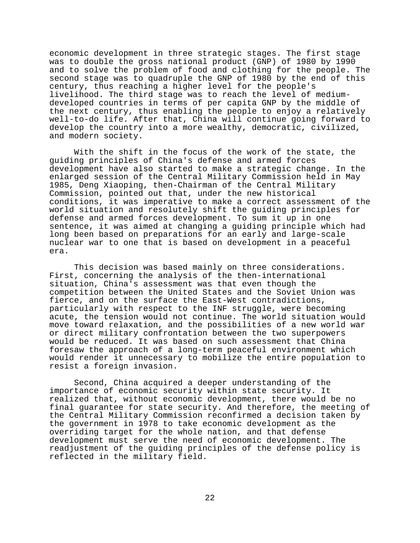economic development in three strategic stages. The first stage was to double the gross national product (GNP) of 1980 by 1990 and to solve the problem of food and clothing for the people. The second stage was to quadruple the GNP of 1980 by the end of this century, thus reaching a higher level for the people's livelihood. The third stage was to reach the level of mediumdeveloped countries in terms of per capita GNP by the middle of the next century, thus enabling the people to enjoy a relatively well-to-do life. After that, China will continue going forward to develop the country into a more wealthy, democratic, civilized, and modern society.

With the shift in the focus of the work of the state, the guiding principles of China's defense and armed forces development have also started to make a strategic change. In the enlarged session of the Central Military Commission held in May 1985, Deng Xiaoping, then-Chairman of the Central Military Commission, pointed out that, under the new historical conditions, it was imperative to make a correct assessment of the world situation and resolutely shift the guiding principles for defense and armed forces development. To sum it up in one sentence, it was aimed at changing a guiding principle which had long been based on preparations for an early and large-scale nuclear war to one that is based on development in a peaceful era.

This decision was based mainly on three considerations. First, concerning the analysis of the then-international situation, China's assessment was that even though the competition between the United States and the Soviet Union was fierce, and on the surface the East-West contradictions, particularly with respect to the INF struggle, were becoming acute, the tension would not continue. The world situation would move toward relaxation, and the possibilities of a new world war or direct military confrontation between the two superpowers would be reduced. It was based on such assessment that China foresaw the approach of a long-term peaceful environment which would render it unnecessary to mobilize the entire population to resist a foreign invasion.

Second, China acquired a deeper understanding of the importance of economic security within state security. It realized that, without economic development, there would be no final guarantee for state security. And therefore, the meeting of the Central Military Commission reconfirmed a decision taken by the government in 1978 to take economic development as the overriding target for the whole nation, and that defense development must serve the need of economic development. The readjustment of the guiding principles of the defense policy is reflected in the military field.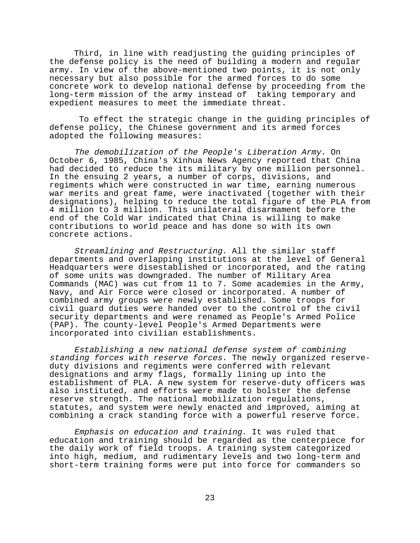Third, in line with readjusting the guiding principles of the defense policy is the need of building a modern and regular army. In view of the above-mentioned two points, it is not only necessary but also possible for the armed forces to do some concrete work to develop national defense by proceeding from the long-term mission of the army instead of taking temporary and expedient measures to meet the immediate threat.

 To effect the strategic change in the guiding principles of defense policy, the Chinese government and its armed forces adopted the following measures:

The demobilization of the People's Liberation Army. On October 6, 1985, China's Xinhua News Agency reported that China had decided to reduce the its military by one million personnel. In the ensuing 2 years, a number of corps, divisions, and regiments which were constructed in war time, earning numerous war merits and great fame, were inactivated (together with their designations), helping to reduce the total figure of the PLA from 4 million to 3 million. This unilateral disarmament before the end of the Cold War indicated that China is willing to make contributions to world peace and has done so with its own concrete actions.

Streamlining and Restructuring. All the similar staff departments and overlapping institutions at the level of General Headquarters were disestablished or incorporated, and the rating of some units was downgraded. The number of Military Area Commands (MAC) was cut from 11 to 7. Some academies in the Army, Navy, and Air Force were closed or incorporated. A number of combined army groups were newly established. Some troops for civil guard duties were handed over to the control of the civil security departments and were renamed as People's Armed Police (PAP). The county-level People's Armed Departments were incorporated into civilian establishments.

Establishing a new national defense system of combining standing forces with reserve forces. The newly organized reserveduty divisions and regiments were conferred with relevant designations and army flags, formally lining up into the establishment of PLA. A new system for reserve-duty officers was also instituted, and efforts were made to bolster the defense reserve strength. The national mobilization regulations, statutes, and system were newly enacted and improved, aiming at combining a crack standing force with a powerful reserve force.

Emphasis on education and training. It was ruled that education and training should be regarded as the centerpiece for the daily work of field troops. A training system categorized into high, medium, and rudimentary levels and two long-term and short-term training forms were put into force for commanders so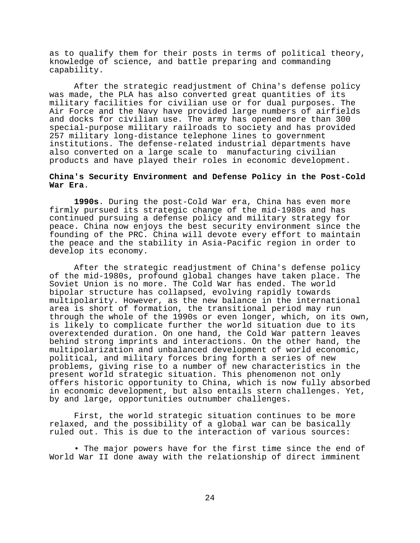as to qualify them for their posts in terms of political theory, knowledge of science, and battle preparing and commanding capability.

After the strategic readjustment of China's defense policy was made, the PLA has also converted great quantities of its military facilities for civilian use or for dual purposes. The Air Force and the Navy have provided large numbers of airfields and docks for civilian use. The army has opened more than 300 special-purpose military railroads to society and has provided 257 military long-distance telephone lines to government institutions. The defense-related industrial departments have also converted on a large scale to manufacturing civilian products and have played their roles in economic development.

# **China's Security Environment and Defense Policy in the Post-Cold War Era**.

**1990s**. During the post-Cold War era, China has even more firmly pursued its strategic change of the mid-1980s and has continued pursuing a defense policy and military strategy for peace. China now enjoys the best security environment since the founding of the PRC. China will devote every effort to maintain the peace and the stability in Asia-Pacific region in order to develop its economy.

After the strategic readjustment of China's defense policy of the mid-1980s, profound global changes have taken place. The Soviet Union is no more. The Cold War has ended. The world bipolar structure has collapsed, evolving rapidly towards multipolarity. However, as the new balance in the international area is short of formation, the transitional period may run through the whole of the 1990s or even longer, which, on its own, is likely to complicate further the world situation due to its overextended duration. On one hand, the Cold War pattern leaves behind strong imprints and interactions. On the other hand, the multipolarization and unbalanced development of world economic, political, and military forces bring forth a series of new problems, giving rise to a number of new characteristics in the present world strategic situation. This phenomenon not only offers historic opportunity to China, which is now fully absorbed in economic development, but also entails stern challenges. Yet, by and large, opportunities outnumber challenges.

First, the world strategic situation continues to be more relaxed, and the possibility of a global war can be basically ruled out. This is due to the interaction of various sources:

• The major powers have for the first time since the end of World War II done away with the relationship of direct imminent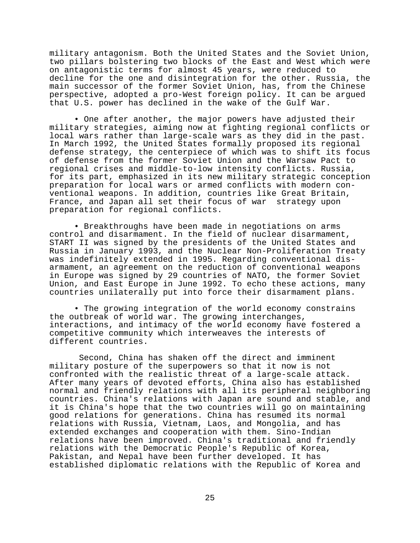military antagonism. Both the United States and the Soviet Union, two pillars bolstering two blocks of the East and West which were on antagonistic terms for almost 45 years, were reduced to decline for the one and disintegration for the other. Russia, the main successor of the former Soviet Union, has, from the Chinese perspective, adopted a pro-West foreign policy. It can be argued that U.S. power has declined in the wake of the Gulf War.

• One after another, the major powers have adjusted their military strategies, aiming now at fighting regional conflicts or local wars rather than large-scale wars as they did in the past. In March 1992, the United States formally proposed its regional defense strategy, the centerpiece of which was to shift its focus of defense from the former Soviet Union and the Warsaw Pact to regional crises and middle-to-low intensity conflicts. Russia, for its part, emphasized in its new military strategic conception preparation for local wars or armed conflicts with modern conventional weapons. In addition, countries like Great Britain, France, and Japan all set their focus of war strategy upon preparation for regional conflicts.

• Breakthroughs have been made in negotiations on arms control and disarmament. In the field of nuclear disarmament, START II was signed by the presidents of the United States and Russia in January 1993, and the Nuclear Non-Proliferation Treaty was indefinitely extended in 1995. Regarding conventional disarmament, an agreement on the reduction of conventional weapons in Europe was signed by 29 countries of NATO, the former Soviet Union, and East Europe in June 1992. To echo these actions, many countries unilaterally put into force their disarmament plans.

• The growing integration of the world economy constrains the outbreak of world war. The growing interchanges, interactions, and intimacy of the world economy have fostered a competitive community which interweaves the interests of different countries.

 Second, China has shaken off the direct and imminent military posture of the superpowers so that it now is not confronted with the realistic threat of a large-scale attack. After many years of devoted efforts, China also has established normal and friendly relations with all its peripheral neighboring countries. China's relations with Japan are sound and stable, and it is China's hope that the two countries will go on maintaining good relations for generations. China has resumed its normal relations with Russia, Vietnam, Laos, and Mongolia, and has extended exchanges and cooperation with them. Sino-Indian relations have been improved. China's traditional and friendly relations with the Democratic People's Republic of Korea, Pakistan, and Nepal have been further developed. It has established diplomatic relations with the Republic of Korea and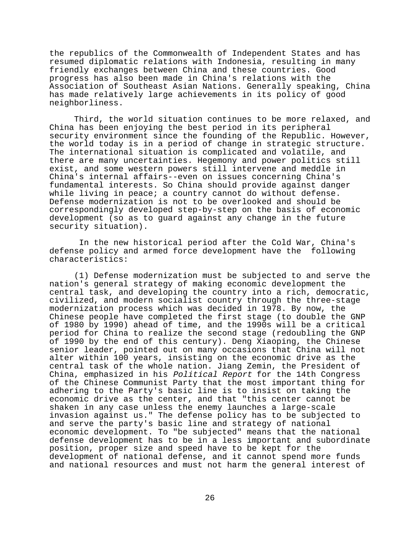the republics of the Commonwealth of Independent States and has resumed diplomatic relations with Indonesia, resulting in many friendly exchanges between China and these countries. Good progress has also been made in China's relations with the Association of Southeast Asian Nations. Generally speaking, China has made relatively large achievements in its policy of good neighborliness.

Third, the world situation continues to be more relaxed, and China has been enjoying the best period in its peripheral security environment since the founding of the Republic. However, the world today is in a period of change in strategic structure. The international situation is complicated and volatile, and there are many uncertainties. Hegemony and power politics still exist, and some western powers still intervene and meddle in China's internal affairs--even on issues concerning China's fundamental interests. So China should provide against danger while living in peace; a country cannot do without defense. Defense modernization is not to be overlooked and should be correspondingly developed step-by-step on the basis of economic development (so as to guard against any change in the future security situation).

 In the new historical period after the Cold War, China's defense policy and armed force development have the following characteristics:

(1) Defense modernization must be subjected to and serve the nation's general strategy of making economic development the central task, and developing the country into a rich, democratic, civilized, and modern socialist country through the three-stage modernization process which was decided in 1978. By now, the Chinese people have completed the first stage (to double the GNP of 1980 by 1990) ahead of time, and the 1990s will be a critical period for China to realize the second stage (redoubling the GNP of 1990 by the end of this century). Deng Xiaoping, the Chinese senior leader, pointed out on many occasions that China will not alter within 100 years, insisting on the economic drive as the central task of the whole nation. Jiang Zemin, the President of China, emphasized in his Political Report for the 14th Congress of the Chinese Communist Party that the most important thing for adhering to the Party's basic line is to insist on taking the economic drive as the center, and that "this center cannot be shaken in any case unless the enemy launches a large-scale invasion against us." The defense policy has to be subjected to and serve the party's basic line and strategy of national economic development. To "be subjected" means that the national defense development has to be in a less important and subordinate position, proper size and speed have to be kept for the development of national defense, and it cannot spend more funds and national resources and must not harm the general interest of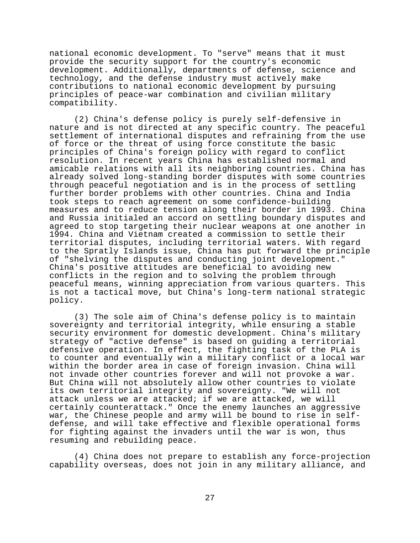national economic development. To "serve" means that it must provide the security support for the country's economic development. Additionally, departments of defense, science and technology, and the defense industry must actively make contributions to national economic development by pursuing principles of peace-war combination and civilian military compatibility.

(2) China's defense policy is purely self-defensive in nature and is not directed at any specific country. The peaceful settlement of international disputes and refraining from the use of force or the threat of using force constitute the basic principles of China's foreign policy with regard to conflict resolution. In recent years China has established normal and amicable relations with all its neighboring countries. China has already solved long-standing border disputes with some countries through peaceful negotiation and is in the process of settling further border problems with other countries. China and India took steps to reach agreement on some confidence-building measures and to reduce tension along their border in 1993. China and Russia initialed an accord on settling boundary disputes and agreed to stop targeting their nuclear weapons at one another in 1994. China and Vietnam created a commission to settle their territorial disputes, including territorial waters. With regard to the Spratly Islands issue, China has put forward the principle of "shelving the disputes and conducting joint development." China's positive attitudes are beneficial to avoiding new conflicts in the region and to solving the problem through peaceful means, winning appreciation from various quarters. This is not a tactical move, but China's long-term national strategic policy.

(3) The sole aim of China's defense policy is to maintain sovereignty and territorial integrity, while ensuring a stable security environment for domestic development. China's military strategy of "active defense" is based on guiding a territorial defensive operation. In effect, the fighting task of the PLA is to counter and eventually win a military conflict or a local war within the border area in case of foreign invasion. China will not invade other countries forever and will not provoke a war. But China will not absolutely allow other countries to violate its own territorial integrity and sovereignty. "We will not attack unless we are attacked; if we are attacked, we will certainly counterattack." Once the enemy launches an aggressive war, the Chinese people and army will be bound to rise in selfdefense, and will take effective and flexible operational forms for fighting against the invaders until the war is won, thus resuming and rebuilding peace.

(4) China does not prepare to establish any force-projection capability overseas, does not join in any military alliance, and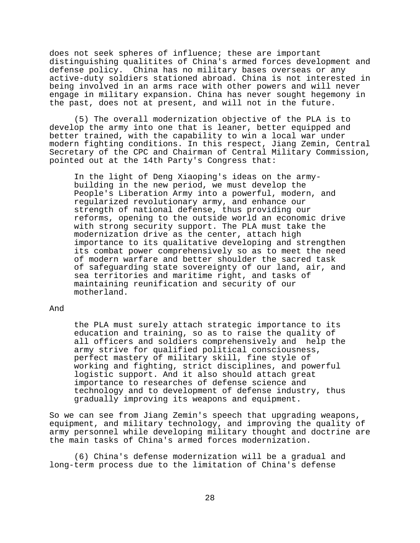does not seek spheres of influence; these are important distinguishing qualitites of China's armed forces development and defense policy. China has no military bases overseas or any active-duty soldiers stationed abroad. China is not interested in being involved in an arms race with other powers and will never engage in military expansion. China has never sought hegemony in the past, does not at present, and will not in the future.

(5) The overall modernization objective of the PLA is to develop the army into one that is leaner, better equipped and better trained, with the capability to win a local war under modern fighting conditions. In this respect, Jiang Zemin, Central Secretary of the CPC and Chairman of Central Military Commission, pointed out at the 14th Party's Congress that:

In the light of Deng Xiaoping's ideas on the armybuilding in the new period, we must develop the People's Liberation Army into a powerful, modern, and regularized revolutionary army, and enhance our strength of national defense, thus providing our reforms, opening to the outside world an economic drive with strong security support. The PLA must take the modernization drive as the center, attach high importance to its qualitative developing and strengthen its combat power comprehensively so as to meet the need of modern warfare and better shoulder the sacred task of safeguarding state sovereignty of our land, air, and sea territories and maritime right, and tasks of maintaining reunification and security of our motherland.

# And

the PLA must surely attach strategic importance to its education and training, so as to raise the quality of all officers and soldiers comprehensively and help the army strive for qualified political consciousness, perfect mastery of military skill, fine style of working and fighting, strict disciplines, and powerful logistic support. And it also should attach great importance to researches of defense science and technology and to development of defense industry, thus gradually improving its weapons and equipment.

So we can see from Jiang Zemin's speech that upgrading weapons, equipment, and military technology, and improving the quality of army personnel while developing military thought and doctrine are the main tasks of China's armed forces modernization.

(6) China's defense modernization will be a gradual and long-term process due to the limitation of China's defense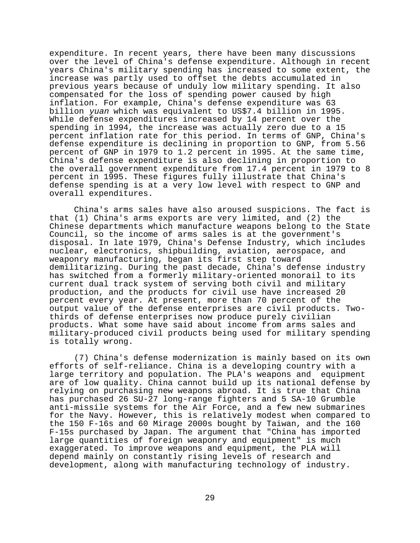expenditure. In recent years, there have been many discussions over the level of China's defense expenditure. Although in recent years China's military spending has increased to some extent, the increase was partly used to offset the debts accumulated in previous years because of unduly low military spending. It also compensated for the loss of spending power caused by high inflation. For example, China's defense expenditure was 63 billion yuan which was equivalent to US\$7.4 billion in 1995. While defense expenditures increased by 14 percent over the spending in 1994, the increase was actually zero due to a 15 percent inflation rate for this period. In terms of GNP, China's defense expenditure is declining in proportion to GNP, from 5.56 percent of GNP in 1979 to 1.2 percent in 1995. At the same time, China's defense expenditure is also declining in proportion to the overall government expenditure from 17.4 percent in 1979 to 8 percent in 1995. These figures fully illustrate that China's defense spending is at a very low level with respect to GNP and overall expenditures.

China's arms sales have also aroused suspicions. The fact is that (1) China's arms exports are very limited, and (2) the Chinese departments which manufacture weapons belong to the State Council, so the income of arms sales is at the government's disposal. In late 1979, China's Defense Industry, which includes nuclear, electronics, shipbuilding, aviation, aerospace, and weaponry manufacturing, began its first step toward demilitarizing. During the past decade, China's defense industry has switched from a formerly military-oriented monorail to its current dual track system of serving both civil and military production, and the products for civil use have increased 20 percent every year. At present, more than 70 percent of the output value of the defense enterprises are civil products. Twothirds of defense enterprises now produce purely civilian products. What some have said about income from arms sales and military-produced civil products being used for military spending is totally wrong.

(7) China's defense modernization is mainly based on its own efforts of self-reliance. China is a developing country with a large territory and population. The PLA's weapons and equipment are of low quality. China cannot build up its national defense by relying on purchasing new weapons abroad. It is true that China has purchased 26 SU-27 long-range fighters and 5 SA-10 Grumble anti-missile systems for the Air Force, and a few new submarines for the Navy. However, this is relatively modest when compared to the 150 F-16s and 60 Mirage 2000s bought by Taiwan, and the 160 F-15s purchased by Japan. The argument that "China has imported large quantities of foreign weaponry and equipment" is much exaggerated. To improve weapons and equipment, the PLA will depend mainly on constantly rising levels of research and development, along with manufacturing technology of industry.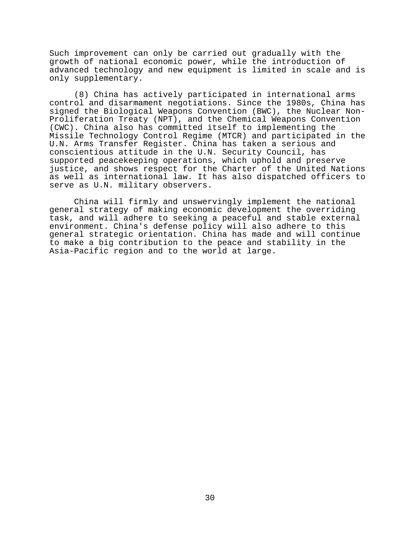Such improvement can only be carried out gradually with the growth of national economic power, while the introduction of advanced technology and new equipment is limited in scale and is only supplementary.

(8) China has actively participated in international arms control and disarmament negotiations. Since the 1980s, China has signed the Biological Weapons Convention (BWC), the Nuclear Non-Proliferation Treaty (NPT), and the Chemical Weapons Convention (CWC). China also has committed itself to implementing the Missile Technology Control Regime (MTCR) and participated in the U.N. Arms Transfer Register. China has taken a serious and conscientious attitude in the U.N. Security Council, has supported peacekeeping operations, which uphold and preserve justice, and shows respect for the Charter of the United Nations as well as international law. It has also dispatched officers to serve as U.N. military observers.

China will firmly and unswervingly implement the national general strategy of making economic development the overriding task, and will adhere to seeking a peaceful and stable external environment. China's defense policy will also adhere to this general strategic orientation. China has made and will continue to make a big contribution to the peace and stability in the Asia-Pacific region and to the world at large.